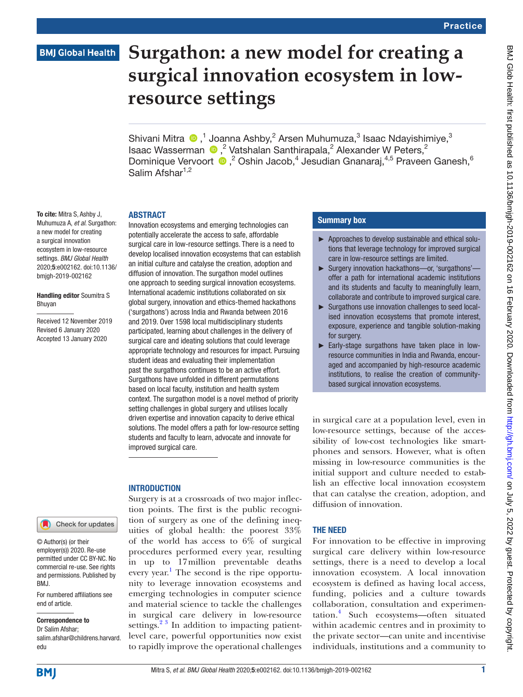## **BMJ Global Health**

# **Surgathon: a new model for creating a surgical innovation ecosystem in lowresource settings**

ShivaniMitra  $\bigcirc$ ,<sup>1</sup> Joanna Ashby,<sup>2</sup> Arsen Muhumuza,<sup>3</sup> Isaac Ndayishimiye,<sup>3</sup> IsaacWasserman  $\bigcirc$ ,  $^2$  Vatshalan Santhirapala,  $^2$  Alexander W Peters,  $^2$ DominiqueVervoort <sup>®</sup>,<sup>2</sup> Oshin Jacob,<sup>4</sup> Jesudian Gnanaraj,<sup>4,5</sup> Praveen Ganesh,<sup>6</sup> Salim Afshar $1,2$ 

#### **ARSTRACT**

To cite: Mitra S, Ashby J, Muhumuza A, *et al*. Surgathon: a new model for creating a surgical innovation ecosystem in low-resource settings. *BMJ Global Health* 2020;5:e002162. doi:10.1136/ bmjgh-2019-002162

#### Handling editor Soumitra S Bhuyan

Received 12 November 2019 Revised 6 January 2020 Accepted 13 January 2020

surgical care and ideating solutions that could leverage appropriate technology and resources for impact. Pursuing student ideas and evaluating their implementation past the surgathons continues to be an active effort. Surgathons have unfolded in different permutations based on local faculty, institution and health system context. The surgathon model is a novel method of priority setting challenges in global surgery and utilises locally driven expertise and innovation capacity to derive ethical solutions. The model offers a path for low-resource setting students and faculty to learn, advocate and innovate for improved surgical care.

Innovation ecosystems and emerging technologies can potentially accelerate the access to safe, affordable surgical care in low-resource settings. There is a need to develop localised innovation ecosystems that can establish an initial culture and catalyse the creation, adoption and diffusion of innovation. The surgathon model outlines one approach to seeding surgical innovation ecosystems. International academic institutions collaborated on six global surgery, innovation and ethics-themed hackathons ('surgathons') across India and Rwanda between 2016 and 2019. Over 1598 local multidisciplinary students participated, learning about challenges in the delivery of

#### **INTRODUCTION**

Surgery is at a crossroads of two major inflection points. The first is the public recognition of surgery as one of the defining inequities of global health: the poorest 33% of the world has access to 6% of surgical procedures performed every year, resulting in up to 17million preventable deaths every year.<sup>[1](#page-6-0)</sup> The second is the ripe opportunity to leverage innovation ecosystems and emerging technologies in computer science and material science to tackle the challenges in surgical care delivery in low-resource settings. $2^3$  In addition to impacting patientlevel care, powerful opportunities now exist to rapidly improve the operational challenges

#### Summary box

- ► Approaches to develop sustainable and ethical solutions that leverage technology for improved surgical care in low-resource settings are limited.
- ► Surgery innovation hackathons—or, 'surgathons' offer a path for international academic institutions and its students and faculty to meaningfully learn, collaborate and contribute to improved surgical care.
- ► Surgathons use innovation challenges to seed localised innovation ecosystems that promote interest, exposure, experience and tangible solution-making for surgery.
- ► Early-stage surgathons have taken place in lowresource communities in India and Rwanda, encouraged and accompanied by high-resource academic institutions, to realise the creation of communitybased surgical innovation ecosystems.

in surgical care at a population level, even in low-resource settings, because of the accessibility of low-cost technologies like smartphones and sensors. However, what is often missing in low-resource communities is the initial support and culture needed to establish an effective local innovation ecosystem that can catalyse the creation, adoption, and diffusion of innovation.

#### The need

For innovation to be effective in improving surgical care delivery within low-resource settings, there is a need to develop a local innovation ecosystem. A local innovation ecosystem is defined as having local access, funding, policies and a culture towards collaboration, consultation and experimentation.[4](#page-6-2) Such ecosystems—often situated within academic centres and in proximity to the private sector—can unite and incentivise individuals, institutions and a community to

edu

BMJ.

end of article.

Correspondence to Dr Salim Afshar;

© Author(s) (or their employer(s)) 2020. Re-use permitted under CC BY-NC. No commercial re-use. See rights and permissions. Published by

For numbered affiliations see

Check for updates

salim.afshar@childrens.harvard.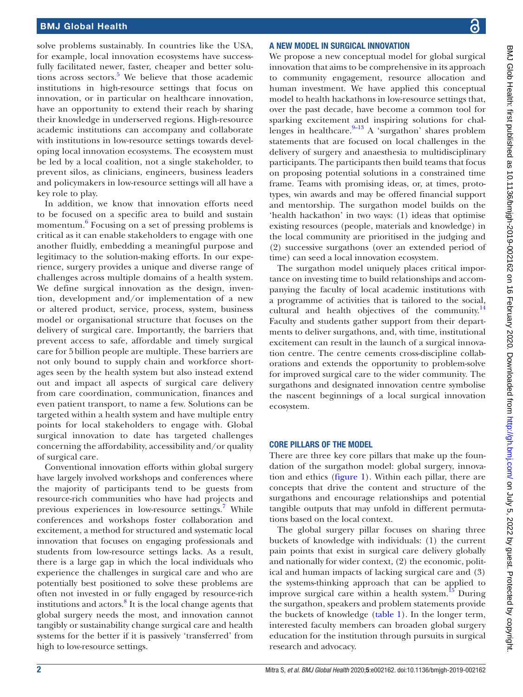solve problems sustainably. In countries like the USA, for example, local innovation ecosystems have successfully facilitated newer, faster, cheaper and better solu-tions across sectors.<sup>[5](#page-6-3)</sup> We believe that those academic institutions in high-resource settings that focus on innovation, or in particular on healthcare innovation, have an opportunity to extend their reach by sharing their knowledge in underserved regions. High-resource academic institutions can accompany and collaborate with institutions in low-resource settings towards developing local innovation ecosystems. The ecosystem must be led by a local coalition, not a single stakeholder, to prevent silos, as clinicians, engineers, business leaders and policymakers in low-resource settings will all have a key role to play.

In addition, we know that innovation efforts need to be focused on a specific area to build and sustain momentum.<sup>[6](#page-6-4)</sup> Focusing on a set of pressing problems is critical as it can enable stakeholders to engage with one another fluidly, embedding a meaningful purpose and legitimacy to the solution-making efforts. In our experience, surgery provides a unique and diverse range of challenges across multiple domains of a health system. We define surgical innovation as the design, invention, development and/or implementation of a new or altered product, service, process, system, business model or organisational structure that focuses on the delivery of surgical care. Importantly, the barriers that prevent access to safe, affordable and timely surgical care for 5 billion people are multiple. These barriers are not only bound to supply chain and workforce shortages seen by the health system but also instead extend out and impact all aspects of surgical care delivery from care coordination, communication, finances and even patient transport, to name a few. Solutions can be targeted within a health system and have multiple entry points for local stakeholders to engage with. Global surgical innovation to date has targeted challenges concerning the affordability, accessibility and/or quality of surgical care.

Conventional innovation efforts within global surgery have largely involved workshops and conferences where the majority of participants tend to be guests from resource-rich communities who have had projects and previous experiences in low-resource settings.<sup>7</sup> While conferences and workshops foster collaboration and excitement, a method for structured and systematic local innovation that focuses on engaging professionals and students from low-resource settings lacks. As a result, there is a large gap in which the local individuals who experience the challenges in surgical care and who are potentially best positioned to solve these problems are often not invested in or fully engaged by resource-rich institutions and actors.<sup>8</sup> It is the local change agents that global surgery needs the most, and innovation cannot tangibly or sustainability change surgical care and health systems for the better if it is passively 'transferred' from high to low-resource settings.

#### A NEW MODEL IN SURGICAL INNOVATION

We propose a new conceptual model for global surgical innovation that aims to be comprehensive in its approach to community engagement, resource allocation and human investment. We have applied this conceptual model to health hackathons in low-resource settings that, over the past decade, have become a common tool for sparking excitement and inspiring solutions for challenges in healthcare. $9-13$  A 'surgathon' shares problem statements that are focused on local challenges in the delivery of surgery and anaesthesia to multidisciplinary participants. The participants then build teams that focus on proposing potential solutions in a constrained time frame. Teams with promising ideas, or, at times, prototypes, win awards and may be offered financial support and mentorship. The surgathon model builds on the 'health hackathon' in two ways: (1) ideas that optimise existing resources (people, materials and knowledge) in the local community are prioritised in the judging and (2) successive surgathons (over an extended period of time) can seed a local innovation ecosystem.

The surgathon model uniquely places critical importance on investing time to build relationships and accompanying the faculty of local academic institutions with a programme of activities that is tailored to the social, cultural and health objectives of the community.<sup>[14](#page-6-8)</sup> Faculty and students gather support from their departments to deliver surgathons, and, with time, institutional excitement can result in the launch of a surgical innovation centre. The centre cements cross-discipline collaborations and extends the opportunity to problem-solve for improved surgical care to the wider community. The surgathons and designated innovation centre symbolise the nascent beginnings of a local surgical innovation ecosystem.

#### Core pillars of the model

There are three key core pillars that make up the foundation of the surgathon model: global surgery, innovation and ethics [\(figure](#page-2-0) 1). Within each pillar, there are concepts that drive the content and structure of the surgathons and encourage relationships and potential tangible outputs that may unfold in different permutations based on the local context.

The global surgery pillar focuses on sharing three buckets of knowledge with individuals: (1) the current pain points that exist in surgical care delivery globally and nationally for wider context, (2) the economic, political and human impacts of lacking surgical care and (3) the systems-thinking approach that can be applied to improve surgical care within a health system.<sup>15</sup> During the surgathon, speakers and problem statements provide the buckets of knowledge [\(table](#page-2-1) 1). In the longer term, interested faculty members can broaden global surgery education for the institution through pursuits in surgical research and advocacy.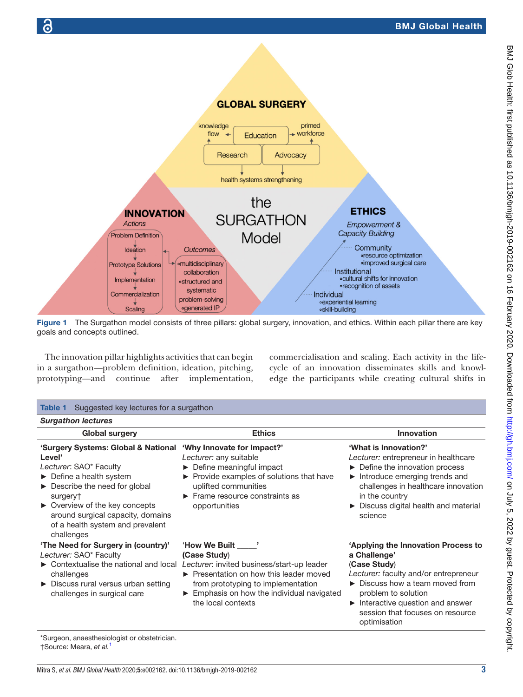

<span id="page-2-0"></span>Figure 1 The Surgathon model consists of three pillars: global surgery, innovation, and ethics. Within each pillar there are key goals and concepts outlined.

The innovation pillar highlights activities that can begin in a surgathon—problem definition, ideation, pitching, prototyping—and continue after implementation,

commercialisation and scaling. Each activity in the lifecycle of an innovation disseminates skills and knowledge the participants while creating cultural shifts in

optimisation

<span id="page-2-1"></span>

| Suggested key lectures for a surgathon<br>Table 1                                                                                                                                                                                                                                                                    |                                                                                                                                                                                                                                                                                               |                                                                                                                                                                                                                                                                                    |  |  |  |  |
|----------------------------------------------------------------------------------------------------------------------------------------------------------------------------------------------------------------------------------------------------------------------------------------------------------------------|-----------------------------------------------------------------------------------------------------------------------------------------------------------------------------------------------------------------------------------------------------------------------------------------------|------------------------------------------------------------------------------------------------------------------------------------------------------------------------------------------------------------------------------------------------------------------------------------|--|--|--|--|
| <b>Surgathon lectures</b>                                                                                                                                                                                                                                                                                            |                                                                                                                                                                                                                                                                                               |                                                                                                                                                                                                                                                                                    |  |  |  |  |
| <b>Global surgery</b>                                                                                                                                                                                                                                                                                                | <b>Ethics</b>                                                                                                                                                                                                                                                                                 | Innovation                                                                                                                                                                                                                                                                         |  |  |  |  |
| 'Surgery Systems: Global & National<br>Level'<br>Lecturer: SAO* Faculty<br>$\triangleright$ Define a health system<br>$\triangleright$ Describe the need for global<br>surgery <sup>+</sup><br>▶ Overview of the key concepts<br>around surgical capacity, domains<br>of a health system and prevalent<br>challenges | 'Why Innovate for Impact?'<br>Lecturer: any suitable<br>$\triangleright$ Define meaningful impact<br>▶ Provide examples of solutions that have<br>uplifted communities<br>Frame resource constraints as<br>opportunities                                                                      | 'What is Innovation?'<br>Lecturer: entrepreneur in healthcare<br>$\triangleright$ Define the innovation process<br>$\blacktriangleright$ Introduce emerging trends and<br>challenges in healthcare innovation<br>in the country<br>Discuss digital health and material<br>science  |  |  |  |  |
| 'The Need for Surgery in (country)'<br>Lecturer: SAO* Faculty<br>challenges<br>$\triangleright$ Discuss rural versus urban setting<br>challenges in surgical care                                                                                                                                                    | 'How We Built '<br>(Case Study)<br>► Contextualise the national and local Lecturer: invited business/start-up leader<br>► Presentation on how this leader moved<br>from prototyping to implementation<br>$\blacktriangleright$ Emphasis on how the individual navigated<br>the local contexts | 'Applying the Innovation Process to<br>a Challenge'<br>(Case Study)<br>Lecturer: faculty and/or entrepreneur<br>$\triangleright$ Discuss how a team moved from<br>problem to solution<br>$\blacktriangleright$ Interactive question and answer<br>session that focuses on resource |  |  |  |  |

<sup>\*</sup>Surgeon, anaesthesiologist or obstetrician.

†Source: Meara, *et al.*[1](#page-6-0)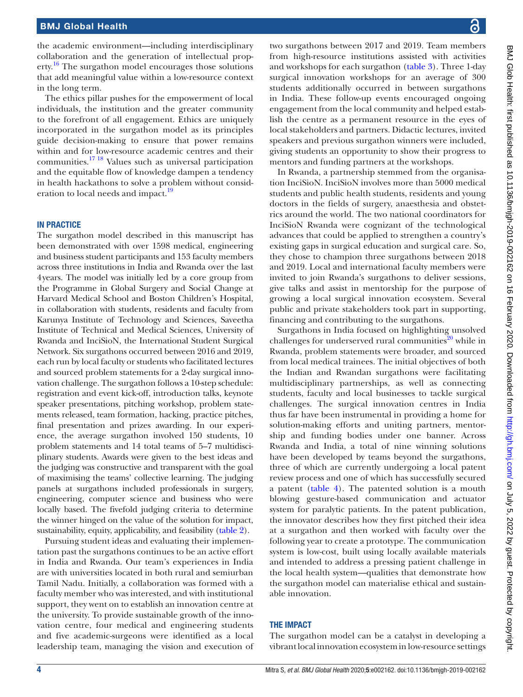the academic environment—including interdisciplinary collaboration and the generation of intellectual property.<sup>16</sup> The surgathon model encourages those solutions that add meaningful value within a low-resource context in the long term.

The ethics pillar pushes for the empowerment of local individuals, the institution and the greater community to the forefront of all engagement. Ethics are uniquely incorporated in the surgathon model as its principles guide decision-making to ensure that power remains within and for low-resource academic centres and their communities.[17 18](#page-6-11) Values such as universal participation and the equitable flow of knowledge dampen a tendency in health hackathons to solve a problem without consideration to local needs and impact.<sup>19</sup>

#### In practice

The surgathon model described in this manuscript has been demonstrated with over 1598 medical, engineering and business student participants and 153 faculty members across three institutions in India and Rwanda over the last 4years. The model was initially led by a core group from the Programme in Global Surgery and Social Change at Harvard Medical School and Boston Children's Hospital, in collaboration with students, residents and faculty from Karunya Institute of Technology and Sciences, Saveetha Institute of Technical and Medical Sciences, University of Rwanda and InciSioN, the International Student Surgical Network. Six surgathons occurred between 2016 and 2019, each run by local faculty or students who facilitated lectures and sourced problem statements for a 2-day surgical innovation challenge. The surgathon follows a 10-step schedule: registration and event kick-off, introduction talks, keynote speaker presentations, pitching workshop, problem statements released, team formation, hacking, practice pitches, final presentation and prizes awarding. In our experience, the average surgathon involved 150 students, 10 problem statements and 14 total teams of 5–7 multidisciplinary students. Awards were given to the best ideas and the judging was constructive and transparent with the goal of maximising the teams' collective learning. The judging panels at surgathons included professionals in surgery, engineering, computer science and business who were locally based. The fivefold judging criteria to determine the winner hinged on the value of the solution for impact, sustainability, equity, applicability, and feasibility ([table](#page-4-0) 2).

Pursuing student ideas and evaluating their implementation past the surgathons continues to be an active effort in India and Rwanda. Our team's experiences in India are with universities located in both rural and semiurban Tamil Nadu. Initially, a collaboration was formed with a faculty member who was interested, and with institutional support, they went on to establish an innovation centre at the university. To provide sustainable growth of the innovation centre, four medical and engineering students and five academic-surgeons were identified as a local leadership team, managing the vision and execution of

two surgathons between 2017 and 2019. Team members from high-resource institutions assisted with activities and workshops for each surgathon [\(table](#page-5-0) 3). Three 1-day surgical innovation workshops for an average of 300 students additionally occurred in between surgathons in India. These follow-up events encouraged ongoing engagement from the local community and helped establish the centre as a permanent resource in the eyes of local stakeholders and partners. Didactic lectures, invited speakers and previous surgathon winners were included, giving students an opportunity to show their progress to mentors and funding partners at the workshops.

In Rwanda, a partnership stemmed from the organisation InciSioN. InciSioN involves more than 5000 medical students and public health students, residents and young doctors in the fields of surgery, anaesthesia and obstetrics around the world. The two national coordinators for InciSioN Rwanda were cognizant of the technological advances that could be applied to strengthen a country's existing gaps in surgical education and surgical care. So, they chose to champion three surgathons between 2018 and 2019. Local and international faculty members were invited to join Rwanda's surgathons to deliver sessions, give talks and assist in mentorship for the purpose of growing a local surgical innovation ecosystem. Several public and private stakeholders took part in supporting, financing and contributing to the surgathons.

Surgathons in India focused on highlighting unsolved challenges for underserved rural communities<sup>[20](#page-6-13)</sup> while in Rwanda, problem statements were broader, and sourced from local medical trainees. The initial objectives of both the Indian and Rwandan surgathons were facilitating multidisciplinary partnerships, as well as connecting students, faculty and local businesses to tackle surgical challenges. The surgical innovation centres in India thus far have been instrumental in providing a home for solution-making efforts and uniting partners, mentorship and funding bodies under one banner. Across Rwanda and India, a total of nine winning solutions have been developed by teams beyond the surgathons, three of which are currently undergoing a local patent review process and one of which has successfully secured a patent ([table](#page-5-1) 4). The patented solution is a mouth blowing gesture-based communication and actuator system for paralytic patients. In the patent publication, the innovator describes how they first pitched their idea at a surgathon and then worked with faculty over the following year to create a prototype. The communication system is low-cost, built using locally available materials and intended to address a pressing patient challenge in the local health system—qualities that demonstrate how the surgathon model can materialise ethical and sustainable innovation.

#### The impact

The surgathon model can be a catalyst in developing a vibrant local innovation ecosystem in low-resource settings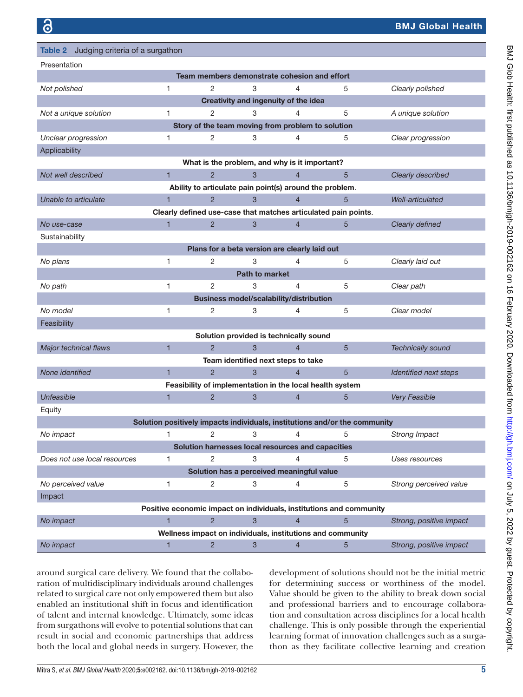<span id="page-4-0"></span>

| Table 2 Judging criteria of a surgathon                             |              |                |                       |                                                         |                                                                            |                         |
|---------------------------------------------------------------------|--------------|----------------|-----------------------|---------------------------------------------------------|----------------------------------------------------------------------------|-------------------------|
| Presentation                                                        |              |                |                       |                                                         |                                                                            |                         |
|                                                                     |              |                |                       | Team members demonstrate cohesion and effort            |                                                                            |                         |
| Not polished                                                        | 1            | $\overline{2}$ | 3                     | 4                                                       | 5                                                                          | Clearly polished        |
|                                                                     |              |                |                       | Creativity and ingenuity of the idea                    |                                                                            |                         |
| Not a unique solution                                               | 1            | $\overline{2}$ | 3                     | 4                                                       | 5                                                                          | A unique solution       |
|                                                                     |              |                |                       | Story of the team moving from problem to solution       |                                                                            |                         |
| Unclear progression                                                 | 1            | $\overline{2}$ | 3                     | 4                                                       | 5                                                                          | Clear progression       |
| Applicability                                                       |              |                |                       |                                                         |                                                                            |                         |
|                                                                     |              |                |                       | What is the problem, and why is it important?           |                                                                            |                         |
| Not well described                                                  | $\mathbf{1}$ | $\overline{2}$ | 3                     | $\overline{4}$                                          | 5                                                                          | Clearly described       |
|                                                                     |              |                |                       | Ability to articulate pain point(s) around the problem. |                                                                            |                         |
| Unable to articulate                                                | $\mathbf{1}$ | $\overline{2}$ | 3                     | $\overline{4}$                                          | 5                                                                          | Well-articulated        |
|                                                                     |              |                |                       |                                                         | Clearly defined use-case that matches articulated pain points.             |                         |
| No use-case                                                         | $\mathbf{1}$ | $\overline{2}$ | 3                     | $\overline{4}$                                          | 5                                                                          | Clearly defined         |
| Sustainability                                                      |              |                |                       |                                                         |                                                                            |                         |
|                                                                     |              |                |                       | Plans for a beta version are clearly laid out           |                                                                            |                         |
| No plans                                                            | 1            | $\overline{2}$ | 3                     | 4                                                       | 5                                                                          | Clearly laid out        |
|                                                                     |              |                | <b>Path to market</b> |                                                         |                                                                            |                         |
| No path                                                             | 1            | $\overline{2}$ | 3                     | 4                                                       | 5                                                                          | Clear path              |
|                                                                     |              |                |                       | <b>Business model/scalability/distribution</b>          |                                                                            |                         |
| No model                                                            | 1            | $\overline{2}$ | 3                     | 4                                                       | 5                                                                          | Clear model             |
| Feasibility                                                         |              |                |                       |                                                         |                                                                            |                         |
|                                                                     |              |                |                       | Solution provided is technically sound                  |                                                                            |                         |
| Major technical flaws                                               | $\mathbf{1}$ | $\overline{2}$ | 3                     | $\overline{4}$                                          | 5                                                                          | Technically sound       |
|                                                                     |              |                |                       | Team identified next steps to take                      |                                                                            |                         |
| None identified                                                     | $\mathbf{1}$ | $\overline{2}$ | 3                     | $\overline{4}$                                          | 5                                                                          | Identified next steps   |
| Feasibility of implementation in the local health system            |              |                |                       |                                                         |                                                                            |                         |
| Unfeasible                                                          | $\mathbf{1}$ | $\overline{2}$ | $\mathbf{3}$          | $\overline{4}$                                          | 5                                                                          | Very Feasible           |
| Equity                                                              |              |                |                       |                                                         |                                                                            |                         |
|                                                                     |              |                |                       |                                                         | Solution positively impacts individuals, institutions and/or the community |                         |
| No impact                                                           |              |                |                       |                                                         |                                                                            | Strong Impact           |
| Solution harnesses local resources and capacities                   |              |                |                       |                                                         |                                                                            |                         |
| Does not use local resources                                        | $\mathbf{1}$ | 2              | 3                     | $\overline{4}$                                          | 5                                                                          | Uses resources          |
| Solution has a perceived meaningful value                           |              |                |                       |                                                         |                                                                            |                         |
| No perceived value                                                  | 1            | $\overline{2}$ | 3                     | 4                                                       | 5                                                                          | Strong perceived value  |
| Impact                                                              |              |                |                       |                                                         |                                                                            |                         |
| Positive economic impact on individuals, institutions and community |              |                |                       |                                                         |                                                                            |                         |
| No impact                                                           | $\mathbf{1}$ | $\overline{2}$ | $\mathbf{3}$          | $\overline{4}$                                          | 5                                                                          | Strong, positive impact |
| Wellness impact on individuals, institutions and community          |              |                |                       |                                                         |                                                                            |                         |
| No impact                                                           | $\mathbf{1}$ | $\overline{2}$ | 3                     | $\overline{4}$                                          | 5                                                                          | Strong, positive impact |

around surgical care delivery. We found that the collaboration of multidisciplinary individuals around challenges related to surgical care not only empowered them but also enabled an institutional shift in focus and identification of talent and internal knowledge. Ultimately, some ideas from surgathons will evolve to potential solutions that can result in social and economic partnerships that address both the local and global needs in surgery. However, the

development of solutions should not be the initial metric for determining success or worthiness of the model. Value should be given to the ability to break down social and professional barriers and to encourage collaboration and consultation across disciplines for a local health challenge. This is only possible through the experiential learning format of innovation challenges such as a surgathon as they facilitate collective learning and creation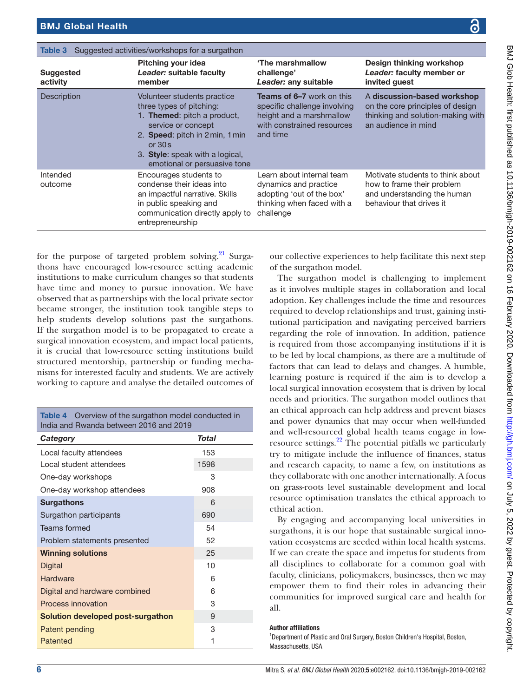<span id="page-5-0"></span>

| Suggested activities/workshops for a surgathon<br>Table 3 |                                                                                                                                                                                                                                       |                                                                                                                                        |                                                                                                                             |  |  |  |
|-----------------------------------------------------------|---------------------------------------------------------------------------------------------------------------------------------------------------------------------------------------------------------------------------------------|----------------------------------------------------------------------------------------------------------------------------------------|-----------------------------------------------------------------------------------------------------------------------------|--|--|--|
| Suggested<br>activity                                     | Pitching your idea<br>Leader: suitable faculty<br>member                                                                                                                                                                              | 'The marshmallow<br>challenge'<br>Leader: any suitable                                                                                 | Design thinking workshop<br>Leader: faculty member or<br>invited guest                                                      |  |  |  |
| Description                                               | Volunteer students practice<br>three types of pitching:<br>1. <b>Themed:</b> pitch a product,<br>service or concept<br>2. Speed: pitch in 2 min, 1 min<br>or $30s$<br>3. Style: speak with a logical,<br>emotional or persuasive tone | <b>Teams of 6–7</b> work on this<br>specific challenge involving<br>height and a marshmallow<br>with constrained resources<br>and time | A discussion-based workshop<br>on the core principles of design<br>thinking and solution-making with<br>an audience in mind |  |  |  |
| Intended<br>outcome                                       | Encourages students to<br>condense their ideas into<br>an impactful narrative. Skills<br>in public speaking and<br>communication directly apply to<br>entrepreneurship                                                                | Learn about internal team<br>dynamics and practice<br>adopting 'out of the box'<br>thinking when faced with a<br>challenge             | Motivate students to think about<br>how to frame their problem<br>and understanding the human<br>behaviour that drives it   |  |  |  |

for the purpose of targeted problem solving. $21$  Surgathons have encouraged low-resource setting academic institutions to make curriculum changes so that students have time and money to pursue innovation. We have observed that as partnerships with the local private sector became stronger, the institution took tangible steps to help students develop solutions past the surgathons. If the surgathon model is to be propagated to create a surgical innovation ecosystem, and impact local patients, it is crucial that low-resource setting institutions build structured mentorship, partnership or funding mechanisms for interested faculty and students. We are actively working to capture and analyse the detailed outcomes of

<span id="page-5-1"></span>

| <b>Table 4</b> Overview of the surgathon model conducted in<br>India and Rwanda between 2016 and 2019<br>Total<br>Category<br>153<br>Local faculty attendees<br>1598<br>Local student attendees<br>З<br>One-day workshops<br>908<br>One-day workshop attendees<br><b>Surgathons</b><br>6<br>690<br>Surgathon participants<br><b>Teams formed</b><br>54<br>52<br>Problem statements presented<br>25<br><b>Winning solutions</b><br>10<br>Digital<br><b>Hardware</b><br>6<br>6<br>Digital and hardware combined<br>Process innovation<br>3<br><b>Solution developed post-surgathon</b><br>9<br>3<br>Patent pending<br>Patented<br>1 |  |  |  |  |  |
|-----------------------------------------------------------------------------------------------------------------------------------------------------------------------------------------------------------------------------------------------------------------------------------------------------------------------------------------------------------------------------------------------------------------------------------------------------------------------------------------------------------------------------------------------------------------------------------------------------------------------------------|--|--|--|--|--|
|                                                                                                                                                                                                                                                                                                                                                                                                                                                                                                                                                                                                                                   |  |  |  |  |  |
|                                                                                                                                                                                                                                                                                                                                                                                                                                                                                                                                                                                                                                   |  |  |  |  |  |
|                                                                                                                                                                                                                                                                                                                                                                                                                                                                                                                                                                                                                                   |  |  |  |  |  |
|                                                                                                                                                                                                                                                                                                                                                                                                                                                                                                                                                                                                                                   |  |  |  |  |  |
|                                                                                                                                                                                                                                                                                                                                                                                                                                                                                                                                                                                                                                   |  |  |  |  |  |
|                                                                                                                                                                                                                                                                                                                                                                                                                                                                                                                                                                                                                                   |  |  |  |  |  |
|                                                                                                                                                                                                                                                                                                                                                                                                                                                                                                                                                                                                                                   |  |  |  |  |  |
|                                                                                                                                                                                                                                                                                                                                                                                                                                                                                                                                                                                                                                   |  |  |  |  |  |
|                                                                                                                                                                                                                                                                                                                                                                                                                                                                                                                                                                                                                                   |  |  |  |  |  |
|                                                                                                                                                                                                                                                                                                                                                                                                                                                                                                                                                                                                                                   |  |  |  |  |  |
|                                                                                                                                                                                                                                                                                                                                                                                                                                                                                                                                                                                                                                   |  |  |  |  |  |
|                                                                                                                                                                                                                                                                                                                                                                                                                                                                                                                                                                                                                                   |  |  |  |  |  |
|                                                                                                                                                                                                                                                                                                                                                                                                                                                                                                                                                                                                                                   |  |  |  |  |  |
|                                                                                                                                                                                                                                                                                                                                                                                                                                                                                                                                                                                                                                   |  |  |  |  |  |
|                                                                                                                                                                                                                                                                                                                                                                                                                                                                                                                                                                                                                                   |  |  |  |  |  |
|                                                                                                                                                                                                                                                                                                                                                                                                                                                                                                                                                                                                                                   |  |  |  |  |  |
|                                                                                                                                                                                                                                                                                                                                                                                                                                                                                                                                                                                                                                   |  |  |  |  |  |
|                                                                                                                                                                                                                                                                                                                                                                                                                                                                                                                                                                                                                                   |  |  |  |  |  |

our collective experiences to help facilitate this next step of the surgathon model.

The surgathon model is challenging to implement as it involves multiple stages in collaboration and local adoption. Key challenges include the time and resources required to develop relationships and trust, gaining institutional participation and navigating perceived barriers regarding the role of innovation. In addition, patience is required from those accompanying institutions if it is to be led by local champions, as there are a multitude of factors that can lead to delays and changes. A humble, learning posture is required if the aim is to develop a local surgical innovation ecosystem that is driven by local needs and priorities. The surgathon model outlines that an ethical approach can help address and prevent biases and power dynamics that may occur when well-funded and well-resourced global health teams engage in lowresource settings.<sup>22</sup> The potential pitfalls we particularly try to mitigate include the influence of finances, status and research capacity, to name a few, on institutions as they collaborate with one another internationally. A focus on grass-roots level sustainable development and local resource optimisation translates the ethical approach to ethical action.

By engaging and accompanying local universities in surgathons, it is our hope that sustainable surgical innovation ecosystems are seeded within local health systems. If we can create the space and impetus for students from all disciplines to collaborate for a common goal with faculty, clinicians, policymakers, businesses, then we may empower them to find their roles in advancing their communities for improved surgical care and health for all.

#### Author affiliations

<sup>1</sup>Department of Plastic and Oral Surgery, Boston Children's Hospital, Boston, Massachusetts, USA